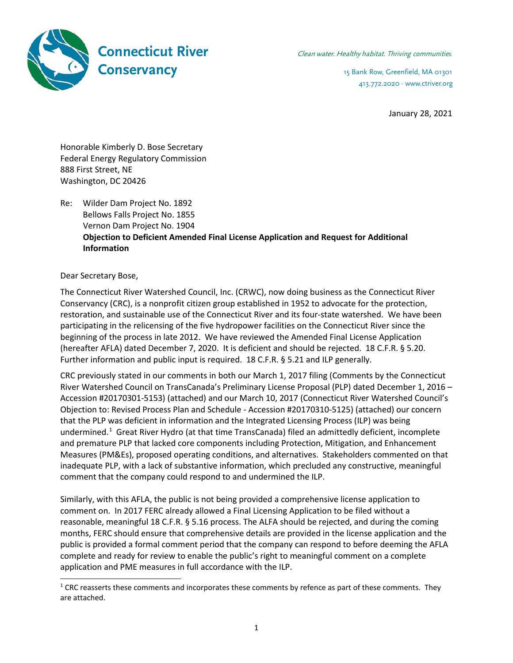

413.772.2020 · www.ctriver.org

January 28, 2021

Honorable Kimberly D. Bose Secretary Federal Energy Regulatory Commission 888 First Street, NE Washington, DC 20426

Re: Wilder Dam Project No. 1892 Bellows Falls Project No. 1855 Vernon Dam Project No. 1904 **Objection to Deficient Amended Final License Application and Request for Additional Information**

Dear Secretary Bose,

The Connecticut River Watershed Council, Inc. (CRWC), now doing business as the Connecticut River Conservancy (CRC), is a nonprofit citizen group established in 1952 to advocate for the protection, restoration, and sustainable use of the Connecticut River and its four-state watershed. We have been participating in the relicensing of the five hydropower facilities on the Connecticut River since the beginning of the process in late 2012. We have reviewed the Amended Final License Application (hereafter AFLA) dated December 7, 2020. It is deficient and should be rejected. 18 C.F.R. § 5.20. Further information and public input is required. 18 C.F.R. § 5.21 and ILP generally.

CRC previously stated in our comments in both our March 1, 2017 filing (Comments by the Connecticut River Watershed Council on TransCanada's Preliminary License Proposal (PLP) dated December 1, 2016 – Accession #20170301-5153) (attached) and our March 10, 2017 (Connecticut River Watershed Council's Objection to: Revised Process Plan and Schedule - Accession #20170310-5125) (attached) our concern that the PLP was deficient in information and the Integrated Licensing Process (ILP) was being undermined.<sup>1</sup> Great River Hydro (at that time TransCanada) filed an admittedly deficient, incomplete and premature PLP that lacked core components including Protection, Mitigation, and Enhancement Measures (PM&Es), proposed operating conditions, and alternatives. Stakeholders commented on that inadequate PLP, with a lack of substantive information, which precluded any constructive, meaningful comment that the company could respond to and undermined the ILP.

Similarly, with this AFLA, the public is not being provided a comprehensive license application to comment on. In 2017 FERC already allowed a Final Licensing Application to be filed without a reasonable, meaningful 18 C.F.R. § 5.16 process. The ALFA should be rejected, and during the coming months, FERC should ensure that comprehensive details are provided in the license application and the public is provided a formal comment period that the company can respond to before deeming the AFLA complete and ready for review to enable the public's right to meaningful comment on a complete application and PME measures in full accordance with the ILP.

 $1$  CRC reasserts these comments and incorporates these comments by refence as part of these comments. They are attached.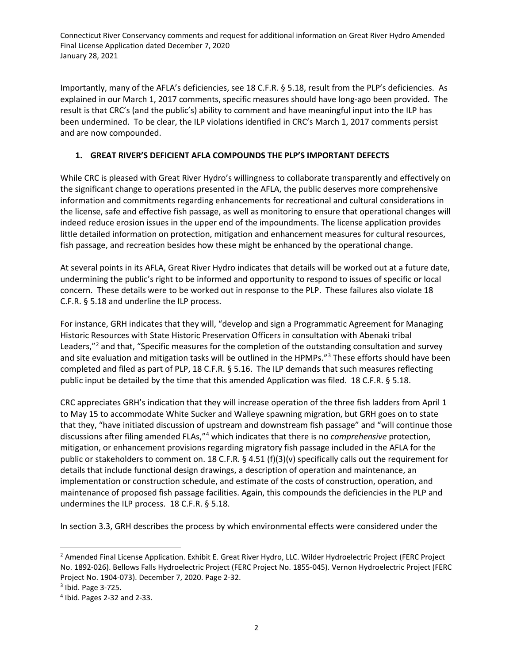Importantly, many of the AFLA's deficiencies, see 18 C.F.R. § 5.18, result from the PLP's deficiencies. As explained in our March 1, 2017 comments, specific measures should have long-ago been provided. The result is that CRC's (and the public's) ability to comment and have meaningful input into the ILP has been undermined. To be clear, the ILP violations identified in CRC's March 1, 2017 comments persist and are now compounded.

#### **1. GREAT RIVER'S DEFICIENT AFLA COMPOUNDS THE PLP'S IMPORTANT DEFECTS**

While CRC is pleased with Great River Hydro's willingness to collaborate transparently and effectively on the significant change to operations presented in the AFLA, the public deserves more comprehensive information and commitments regarding enhancements for recreational and cultural considerations in the license, safe and effective fish passage, as well as monitoring to ensure that operational changes will indeed reduce erosion issues in the upper end of the impoundments. The license application provides little detailed information on protection, mitigation and enhancement measures for cultural resources, fish passage, and recreation besides how these might be enhanced by the operational change.

At several points in its AFLA, Great River Hydro indicates that details will be worked out at a future date, undermining the public's right to be informed and opportunity to respond to issues of specific or local concern. These details were to be worked out in response to the PLP. These failures also violate 18 C.F.R. § 5.18 and underline the ILP process.

For instance, GRH indicates that they will, "develop and sign a Programmatic Agreement for Managing Historic Resources with State Historic Preservation Officers in consultation with Abenaki tribal Leaders,"<sup>2</sup> and that, "Specific measures for the completion of the outstanding consultation and survey and site evaluation and mitigation tasks will be outlined in the HPMPs."3 These efforts should have been completed and filed as part of PLP, 18 C.F.R. § 5.16. The ILP demands that such measures reflecting public input be detailed by the time that this amended Application was filed. 18 C.F.R. § 5.18.

CRC appreciates GRH's indication that they will increase operation of the three fish ladders from April 1 to May 15 to accommodate White Sucker and Walleye spawning migration, but GRH goes on to state that they, "have initiated discussion of upstream and downstream fish passage" and "will continue those discussions after filing amended FLAs,"4 which indicates that there is no *comprehensive* protection, mitigation, or enhancement provisions regarding migratory fish passage included in the AFLA for the public or stakeholders to comment on. 18 C.F.R. § 4.51 (f)(3)(v) specifically calls out the requirement for details that include functional design drawings, a description of operation and maintenance, an implementation or construction schedule, and estimate of the costs of construction, operation, and maintenance of proposed fish passage facilities. Again, this compounds the deficiencies in the PLP and undermines the ILP process. 18 C.F.R. § 5.18.

In section 3.3, GRH describes the process by which environmental effects were considered under the

<sup>&</sup>lt;sup>2</sup> Amended Final License Application. Exhibit E. Great River Hydro, LLC. Wilder Hydroelectric Project (FERC Project No. 1892-026). Bellows Falls Hydroelectric Project (FERC Project No. 1855-045). Vernon Hydroelectric Project (FERC Project No. 1904-073). December 7, 2020. Page 2-32.

<sup>3</sup> Ibid. Page 3-725.

<sup>4</sup> Ibid. Pages 2-32 and 2-33.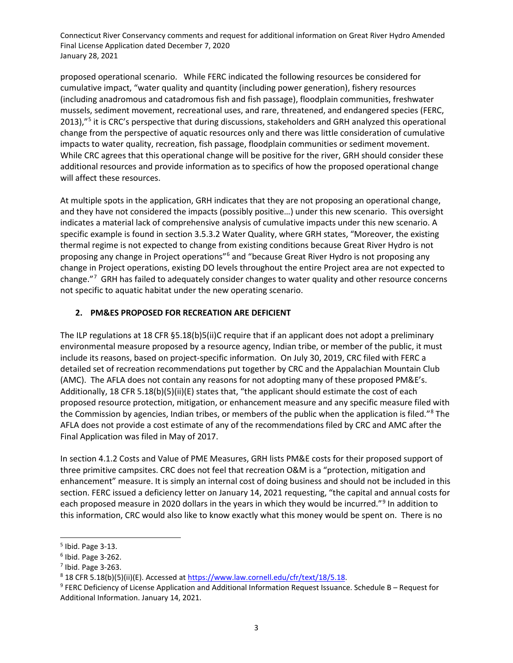proposed operational scenario. While FERC indicated the following resources be considered for cumulative impact, "water quality and quantity (including power generation), fishery resources (including anadromous and catadromous fish and fish passage), floodplain communities, freshwater mussels, sediment movement, recreational uses, and rare, threatened, and endangered species (FERC, 2013),"<sup>5</sup> it is CRC's perspective that during discussions, stakeholders and GRH analyzed this operational change from the perspective of aquatic resources only and there was little consideration of cumulative impacts to water quality, recreation, fish passage, floodplain communities or sediment movement. While CRC agrees that this operational change will be positive for the river, GRH should consider these additional resources and provide information as to specifics of how the proposed operational change will affect these resources.

At multiple spots in the application, GRH indicates that they are not proposing an operational change, and they have not considered the impacts (possibly positive…) under this new scenario. This oversight indicates a material lack of comprehensive analysis of cumulative impacts under this new scenario. A specific example is found in section 3.5.3.2 Water Quality, where GRH states, "Moreover, the existing thermal regime is not expected to change from existing conditions because Great River Hydro is not proposing any change in Project operations"6 and "because Great River Hydro is not proposing any change in Project operations, existing DO levels throughout the entire Project area are not expected to change."<sup>7</sup> GRH has failed to adequately consider changes to water quality and other resource concerns not specific to aquatic habitat under the new operating scenario.

#### **2. PM&ES PROPOSED FOR RECREATION ARE DEFICIENT**

The ILP regulations at 18 CFR §5.18(b)5(ii)C require that if an applicant does not adopt a preliminary environmental measure proposed by a resource agency, Indian tribe, or member of the public, it must include its reasons, based on project-specific information. On July 30, 2019, CRC filed with FERC a detailed set of recreation recommendations put together by CRC and the Appalachian Mountain Club (AMC). The AFLA does not contain any reasons for not adopting many of these proposed PM&E's. Additionally, 18 CFR 5.18(b)(5)(ii)(E) states that, "the applicant should estimate the cost of each proposed resource protection, mitigation, or enhancement measure and any specific measure filed with the Commission by agencies, Indian tribes, or members of the public when the application is filed."<sup>8</sup> The AFLA does not provide a cost estimate of any of the recommendations filed by CRC and AMC after the Final Application was filed in May of 2017.

In section 4.1.2 Costs and Value of PME Measures, GRH lists PM&E costs for their proposed support of three primitive campsites. CRC does not feel that recreation O&M is a "protection, mitigation and enhancement" measure. It is simply an internal cost of doing business and should not be included in this section. FERC issued a deficiency letter on January 14, 2021 requesting, "the capital and annual costs for each proposed measure in 2020 dollars in the years in which they would be incurred."<sup>9</sup> In addition to this information, CRC would also like to know exactly what this money would be spent on. There is no

<sup>5</sup> Ibid. Page 3-13.

 $6$  Ibid. Page 3-262.

<sup>7</sup> Ibid. Page 3-263.

<sup>8</sup> 18 CFR 5.18(b)(5)(ii)(E). Accessed at https://www.law.cornell.edu/cfr/text/18/5.18.

<sup>9</sup> FERC Deficiency of License Application and Additional Information Request Issuance. Schedule B – Request for Additional Information. January 14, 2021.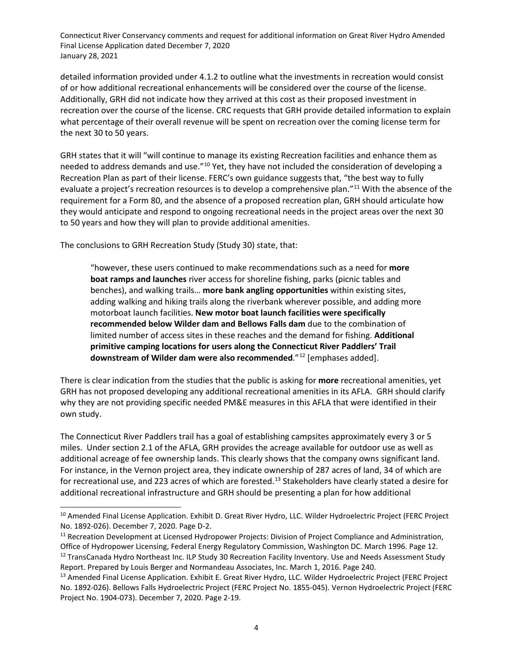detailed information provided under 4.1.2 to outline what the investments in recreation would consist of or how additional recreational enhancements will be considered over the course of the license. Additionally, GRH did not indicate how they arrived at this cost as their proposed investment in recreation over the course of the license. CRC requests that GRH provide detailed information to explain what percentage of their overall revenue will be spent on recreation over the coming license term for the next 30 to 50 years.

GRH states that it will "will continue to manage its existing Recreation facilities and enhance them as needed to address demands and use."10 Yet, they have not included the consideration of developing a Recreation Plan as part of their license. FERC's own guidance suggests that, "the best way to fully evaluate a project's recreation resources is to develop a comprehensive plan."<sup>11</sup> With the absence of the requirement for a Form 80, and the absence of a proposed recreation plan, GRH should articulate how they would anticipate and respond to ongoing recreational needs in the project areas over the next 30 to 50 years and how they will plan to provide additional amenities.

The conclusions to GRH Recreation Study (Study 30) state, that:

"however, these users continued to make recommendations such as a need for **more boat ramps and launches** river access for shoreline fishing, parks (picnic tables and benches), and walking trails… **more bank angling opportunities** within existing sites, adding walking and hiking trails along the riverbank wherever possible, and adding more motorboat launch facilities. **New motor boat launch facilities were specifically recommended below Wilder dam and Bellows Falls dam** due to the combination of limited number of access sites in these reaches and the demand for fishing. **Additional primitive camping locations for users along the Connecticut River Paddlers' Trail downstream of Wilder dam were also recommended**."12 [emphases added].

There is clear indication from the studies that the public is asking for **more** recreational amenities, yet GRH has not proposed developing any additional recreational amenities in its AFLA. GRH should clarify why they are not providing specific needed PM&E measures in this AFLA that were identified in their own study.

The Connecticut River Paddlers trail has a goal of establishing campsites approximately every 3 or 5 miles. Under section 2.1 of the AFLA, GRH provides the acreage available for outdoor use as well as additional acreage of fee ownership lands. This clearly shows that the company owns significant land. For instance, in the Vernon project area, they indicate ownership of 287 acres of land, 34 of which are for recreational use, and 223 acres of which are forested.<sup>13</sup> Stakeholders have clearly stated a desire for additional recreational infrastructure and GRH should be presenting a plan for how additional

<sup>&</sup>lt;sup>10</sup> Amended Final License Application. Exhibit D. Great River Hydro, LLC. Wilder Hydroelectric Project (FERC Project No. 1892-026). December 7, 2020. Page D-2.

<sup>&</sup>lt;sup>11</sup> Recreation Development at Licensed Hydropower Projects: Division of Project Compliance and Administration, Office of Hydropower Licensing, Federal Energy Regulatory Commission, Washington DC. March 1996. Page 12. <sup>12</sup> TransCanada Hydro Northeast Inc. ILP Study 30 Recreation Facility Inventory. Use and Needs Assessment Study Report. Prepared by Louis Berger and Normandeau Associates, Inc. March 1, 2016. Page 240.

<sup>&</sup>lt;sup>13</sup> Amended Final License Application. Exhibit E. Great River Hydro, LLC. Wilder Hydroelectric Project (FERC Project No. 1892-026). Bellows Falls Hydroelectric Project (FERC Project No. 1855-045). Vernon Hydroelectric Project (FERC Project No. 1904-073). December 7, 2020. Page 2-19.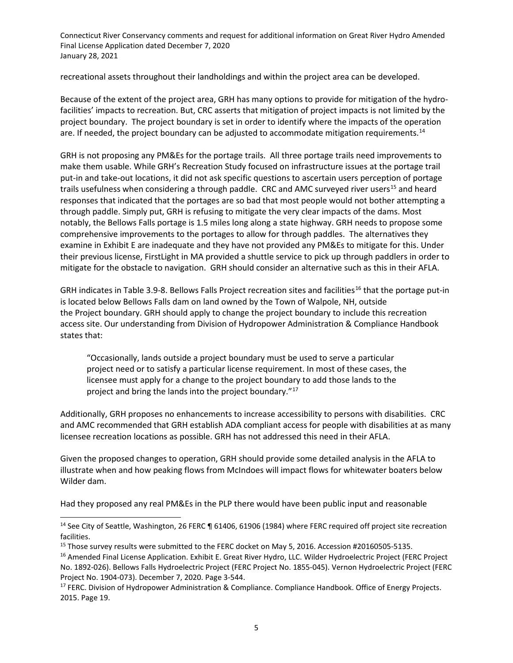recreational assets throughout their landholdings and within the project area can be developed.

Because of the extent of the project area, GRH has many options to provide for mitigation of the hydrofacilities' impacts to recreation. But, CRC asserts that mitigation of project impacts is not limited by the project boundary. The project boundary is set in order to identify where the impacts of the operation are. If needed, the project boundary can be adjusted to accommodate mitigation requirements.<sup>14</sup>

GRH is not proposing any PM&Es for the portage trails. All three portage trails need improvements to make them usable. While GRH's Recreation Study focused on infrastructure issues at the portage trail put-in and take-out locations, it did not ask specific questions to ascertain users perception of portage trails usefulness when considering a through paddle. CRC and AMC surveyed river users<sup>15</sup> and heard responses that indicated that the portages are so bad that most people would not bother attempting a through paddle. Simply put, GRH is refusing to mitigate the very clear impacts of the dams. Most notably, the Bellows Falls portage is 1.5 miles long along a state highway. GRH needs to propose some comprehensive improvements to the portages to allow for through paddles. The alternatives they examine in Exhibit E are inadequate and they have not provided any PM&Es to mitigate for this. Under their previous license, FirstLight in MA provided a shuttle service to pick up through paddlers in order to mitigate for the obstacle to navigation. GRH should consider an alternative such as this in their AFLA.

GRH indicates in Table 3.9-8. Bellows Falls Project recreation sites and facilities<sup>16</sup> that the portage put-in is located below Bellows Falls dam on land owned by the Town of Walpole, NH, outside the Project boundary. GRH should apply to change the project boundary to include this recreation access site. Our understanding from Division of Hydropower Administration & Compliance Handbook states that:

"Occasionally, lands outside a project boundary must be used to serve a particular project need or to satisfy a particular license requirement. In most of these cases, the licensee must apply for a change to the project boundary to add those lands to the project and bring the lands into the project boundary."<sup>17</sup>

Additionally, GRH proposes no enhancements to increase accessibility to persons with disabilities. CRC and AMC recommended that GRH establish ADA compliant access for people with disabilities at as many licensee recreation locations as possible. GRH has not addressed this need in their AFLA.

Given the proposed changes to operation, GRH should provide some detailed analysis in the AFLA to illustrate when and how peaking flows from McIndoes will impact flows for whitewater boaters below Wilder dam.

Had they proposed any real PM&Es in the PLP there would have been public input and reasonable

<sup>&</sup>lt;sup>14</sup> See City of Seattle, Washington, 26 FERC ¶ 61406, 61906 (1984) where FERC required off project site recreation facilities.

<sup>&</sup>lt;sup>15</sup> Those survey results were submitted to the FERC docket on May 5, 2016. Accession #20160505-5135.

<sup>&</sup>lt;sup>16</sup> Amended Final License Application. Exhibit E. Great River Hydro, LLC. Wilder Hydroelectric Project (FERC Project No. 1892-026). Bellows Falls Hydroelectric Project (FERC Project No. 1855-045). Vernon Hydroelectric Project (FERC Project No. 1904-073). December 7, 2020. Page 3-544.

<sup>&</sup>lt;sup>17</sup> FERC. Division of Hydropower Administration & Compliance. Compliance Handbook. Office of Energy Projects. 2015. Page 19.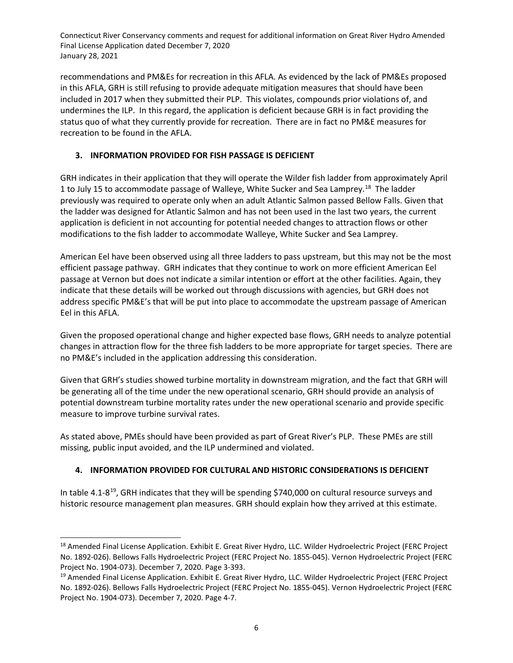recommendations and PM&Es for recreation in this AFLA. As evidenced by the lack of PM&Es proposed in this AFLA, GRH is still refusing to provide adequate mitigation measures that should have been included in 2017 when they submitted their PLP. This violates, compounds prior violations of, and undermines the ILP. In this regard, the application is deficient because GRH is in fact providing the status quo of what they currently provide for recreation. There are in fact no PM&E measures for recreation to be found in the AFLA.

## **3. INFORMATION PROVIDED FOR FISH PASSAGE IS DEFICIENT**

GRH indicates in their application that they will operate the Wilder fish ladder from approximately April 1 to July 15 to accommodate passage of Walleye, White Sucker and Sea Lamprey.<sup>18</sup> The ladder previously was required to operate only when an adult Atlantic Salmon passed Bellow Falls. Given that the ladder was designed for Atlantic Salmon and has not been used in the last two years, the current application is deficient in not accounting for potential needed changes to attraction flows or other modifications to the fish ladder to accommodate Walleye, White Sucker and Sea Lamprey.

American Eel have been observed using all three ladders to pass upstream, but this may not be the most efficient passage pathway. GRH indicates that they continue to work on more efficient American Eel passage at Vernon but does not indicate a similar intention or effort at the other facilities. Again, they indicate that these details will be worked out through discussions with agencies, but GRH does not address specific PM&E's that will be put into place to accommodate the upstream passage of American Eel in this AFLA.

Given the proposed operational change and higher expected base flows, GRH needs to analyze potential changes in attraction flow for the three fish ladders to be more appropriate for target species. There are no PM&E's included in the application addressing this consideration.

Given that GRH's studies showed turbine mortality in downstream migration, and the fact that GRH will be generating all of the time under the new operational scenario, GRH should provide an analysis of potential downstream turbine mortality rates under the new operational scenario and provide specific measure to improve turbine survival rates.

As stated above, PMEs should have been provided as part of Great River's PLP. These PMEs are still missing, public input avoided, and the ILP undermined and violated.

## **4. INFORMATION PROVIDED FOR CULTURAL AND HISTORIC CONSIDERATIONS IS DEFICIENT**

In table  $4.1-8^{19}$ , GRH indicates that they will be spending \$740,000 on cultural resource surveys and historic resource management plan measures. GRH should explain how they arrived at this estimate.

<sup>&</sup>lt;sup>18</sup> Amended Final License Application. Exhibit E. Great River Hydro, LLC. Wilder Hydroelectric Project (FERC Project No. 1892-026). Bellows Falls Hydroelectric Project (FERC Project No. 1855-045). Vernon Hydroelectric Project (FERC Project No. 1904-073). December 7, 2020. Page 3-393.

<sup>&</sup>lt;sup>19</sup> Amended Final License Application. Exhibit E. Great River Hydro, LLC. Wilder Hydroelectric Project (FERC Project No. 1892-026). Bellows Falls Hydroelectric Project (FERC Project No. 1855-045). Vernon Hydroelectric Project (FERC Project No. 1904-073). December 7, 2020. Page 4-7.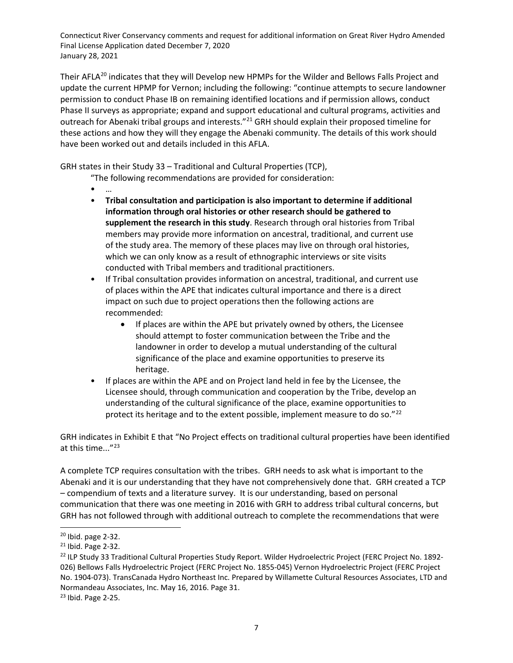Their AFLA<sup>20</sup> indicates that they will Develop new HPMPs for the Wilder and Bellows Falls Project and update the current HPMP for Vernon; including the following: "continue attempts to secure landowner permission to conduct Phase IB on remaining identified locations and if permission allows, conduct Phase II surveys as appropriate; expand and support educational and cultural programs, activities and outreach for Abenaki tribal groups and interests."<sup>21</sup> GRH should explain their proposed timeline for these actions and how they will they engage the Abenaki community. The details of this work should have been worked out and details included in this AFLA.

GRH states in their Study 33 – Traditional and Cultural Properties (TCP),

- "The following recommendations are provided for consideration:
- …
- **Tribal consultation and participation is also important to determine if additional information through oral histories or other research should be gathered to supplement the research in this study**. Research through oral histories from Tribal members may provide more information on ancestral, traditional, and current use of the study area. The memory of these places may live on through oral histories, which we can only know as a result of ethnographic interviews or site visits conducted with Tribal members and traditional practitioners.
- If Tribal consultation provides information on ancestral, traditional, and current use of places within the APE that indicates cultural importance and there is a direct impact on such due to project operations then the following actions are recommended:
	- If places are within the APE but privately owned by others, the Licensee should attempt to foster communication between the Tribe and the landowner in order to develop a mutual understanding of the cultural significance of the place and examine opportunities to preserve its heritage.
- If places are within the APE and on Project land held in fee by the Licensee, the Licensee should, through communication and cooperation by the Tribe, develop an understanding of the cultural significance of the place, examine opportunities to protect its heritage and to the extent possible, implement measure to do so."<sup>22</sup>

GRH indicates in Exhibit E that "No Project effects on traditional cultural properties have been identified at this time..."23

A complete TCP requires consultation with the tribes. GRH needs to ask what is important to the Abenaki and it is our understanding that they have not comprehensively done that. GRH created a TCP – compendium of texts and a literature survey. It is our understanding, based on personal communication that there was one meeting in 2016 with GRH to address tribal cultural concerns, but GRH has not followed through with additional outreach to complete the recommendations that were

 $20$  Ibid. page 2-32.

<sup>21</sup> Ibid. Page 2-32.

<sup>&</sup>lt;sup>22</sup> ILP Study 33 Traditional Cultural Properties Study Report. Wilder Hydroelectric Project (FERC Project No. 1892-026) Bellows Falls Hydroelectric Project (FERC Project No. 1855-045) Vernon Hydroelectric Project (FERC Project No. 1904-073). TransCanada Hydro Northeast Inc. Prepared by Willamette Cultural Resources Associates, LTD and Normandeau Associates, Inc. May 16, 2016. Page 31.

<sup>23</sup> Ibid. Page 2-25.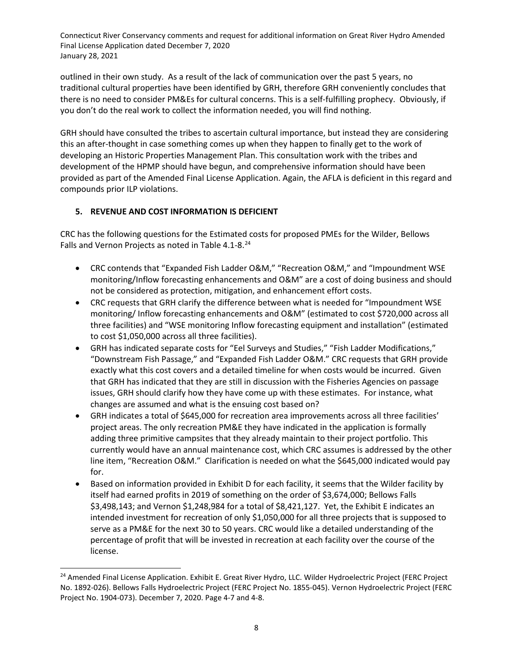outlined in their own study. As a result of the lack of communication over the past 5 years, no traditional cultural properties have been identified by GRH, therefore GRH conveniently concludes that there is no need to consider PM&Es for cultural concerns. This is a self-fulfilling prophecy. Obviously, if you don't do the real work to collect the information needed, you will find nothing.

GRH should have consulted the tribes to ascertain cultural importance, but instead they are considering this an after-thought in case something comes up when they happen to finally get to the work of developing an Historic Properties Management Plan. This consultation work with the tribes and development of the HPMP should have begun, and comprehensive information should have been provided as part of the Amended Final License Application. Again, the AFLA is deficient in this regard and compounds prior ILP violations.

#### **5. REVENUE AND COST INFORMATION IS DEFICIENT**

CRC has the following questions for the Estimated costs for proposed PMEs for the Wilder, Bellows Falls and Vernon Projects as noted in Table 4.1-8.<sup>24</sup>

- CRC contends that "Expanded Fish Ladder O&M," "Recreation O&M," and "Impoundment WSE monitoring/Inflow forecasting enhancements and O&M" are a cost of doing business and should not be considered as protection, mitigation, and enhancement effort costs.
- CRC requests that GRH clarify the difference between what is needed for "Impoundment WSE monitoring/ Inflow forecasting enhancements and O&M" (estimated to cost \$720,000 across all three facilities) and "WSE monitoring Inflow forecasting equipment and installation" (estimated to cost \$1,050,000 across all three facilities).
- GRH has indicated separate costs for "Eel Surveys and Studies," "Fish Ladder Modifications," "Downstream Fish Passage," and "Expanded Fish Ladder O&M." CRC requests that GRH provide exactly what this cost covers and a detailed timeline for when costs would be incurred. Given that GRH has indicated that they are still in discussion with the Fisheries Agencies on passage issues, GRH should clarify how they have come up with these estimates. For instance, what changes are assumed and what is the ensuing cost based on?
- GRH indicates a total of \$645,000 for recreation area improvements across all three facilities' project areas. The only recreation PM&E they have indicated in the application is formally adding three primitive campsites that they already maintain to their project portfolio. This currently would have an annual maintenance cost, which CRC assumes is addressed by the other line item, "Recreation O&M." Clarification is needed on what the \$645,000 indicated would pay for.
- Based on information provided in Exhibit D for each facility, it seems that the Wilder facility by itself had earned profits in 2019 of something on the order of \$3,674,000; Bellows Falls \$3,498,143; and Vernon \$1,248,984 for a total of \$8,421,127. Yet, the Exhibit E indicates an intended investment for recreation of only \$1,050,000 for all three projects that is supposed to serve as a PM&E for the next 30 to 50 years. CRC would like a detailed understanding of the percentage of profit that will be invested in recreation at each facility over the course of the license.

<sup>&</sup>lt;sup>24</sup> Amended Final License Application. Exhibit E. Great River Hydro, LLC. Wilder Hydroelectric Project (FERC Project No. 1892-026). Bellows Falls Hydroelectric Project (FERC Project No. 1855-045). Vernon Hydroelectric Project (FERC Project No. 1904-073). December 7, 2020. Page 4-7 and 4-8.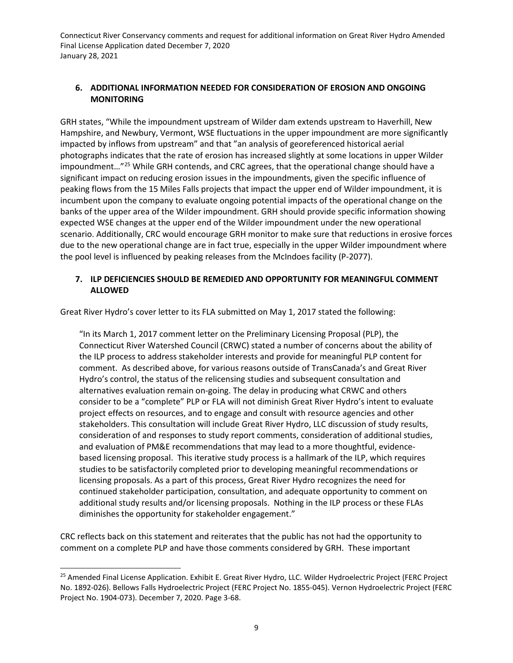#### **6. ADDITIONAL INFORMATION NEEDED FOR CONSIDERATION OF EROSION AND ONGOING MONITORING**

GRH states, "While the impoundment upstream of Wilder dam extends upstream to Haverhill, New Hampshire, and Newbury, Vermont, WSE fluctuations in the upper impoundment are more significantly impacted by inflows from upstream" and that "an analysis of georeferenced historical aerial photographs indicates that the rate of erosion has increased slightly at some locations in upper Wilder impoundment...<sup>"25</sup> While GRH contends, and CRC agrees, that the operational change should have a significant impact on reducing erosion issues in the impoundments, given the specific influence of peaking flows from the 15 Miles Falls projects that impact the upper end of Wilder impoundment, it is incumbent upon the company to evaluate ongoing potential impacts of the operational change on the banks of the upper area of the Wilder impoundment. GRH should provide specific information showing expected WSE changes at the upper end of the Wilder impoundment under the new operational scenario. Additionally, CRC would encourage GRH monitor to make sure that reductions in erosive forces due to the new operational change are in fact true, especially in the upper Wilder impoundment where the pool level is influenced by peaking releases from the McIndoes facility (P-2077).

#### **7. ILP DEFICIENCIES SHOULD BE REMEDIED AND OPPORTUNITY FOR MEANINGFUL COMMENT ALLOWED**

Great River Hydro's cover letter to its FLA submitted on May 1, 2017 stated the following:

"In its March 1, 2017 comment letter on the Preliminary Licensing Proposal (PLP), the Connecticut River Watershed Council (CRWC) stated a number of concerns about the ability of the ILP process to address stakeholder interests and provide for meaningful PLP content for comment. As described above, for various reasons outside of TransCanada's and Great River Hydro's control, the status of the relicensing studies and subsequent consultation and alternatives evaluation remain on-going. The delay in producing what CRWC and others consider to be a "complete" PLP or FLA will not diminish Great River Hydro's intent to evaluate project effects on resources, and to engage and consult with resource agencies and other stakeholders. This consultation will include Great River Hydro, LLC discussion of study results, consideration of and responses to study report comments, consideration of additional studies, and evaluation of PM&E recommendations that may lead to a more thoughtful, evidencebased licensing proposal. This iterative study process is a hallmark of the ILP, which requires studies to be satisfactorily completed prior to developing meaningful recommendations or licensing proposals. As a part of this process, Great River Hydro recognizes the need for continued stakeholder participation, consultation, and adequate opportunity to comment on additional study results and/or licensing proposals. Nothing in the ILP process or these FLAs diminishes the opportunity for stakeholder engagement."

CRC reflects back on this statement and reiterates that the public has not had the opportunity to comment on a complete PLP and have those comments considered by GRH. These important

<sup>&</sup>lt;sup>25</sup> Amended Final License Application. Exhibit E. Great River Hydro, LLC. Wilder Hydroelectric Project (FERC Project No. 1892-026). Bellows Falls Hydroelectric Project (FERC Project No. 1855-045). Vernon Hydroelectric Project (FERC Project No. 1904-073). December 7, 2020. Page 3-68.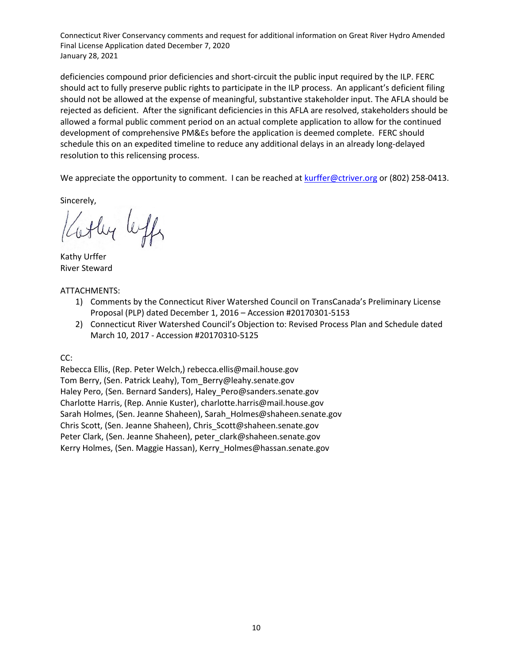deficiencies compound prior deficiencies and short-circuit the public input required by the ILP. FERC should act to fully preserve public rights to participate in the ILP process. An applicant's deficient filing should not be allowed at the expense of meaningful, substantive stakeholder input. The AFLA should be rejected as deficient. After the significant deficiencies in this AFLA are resolved, stakeholders should be allowed a formal public comment period on an actual complete application to allow for the continued development of comprehensive PM&Es before the application is deemed complete. FERC should schedule this on an expedited timeline to reduce any additional delays in an already long-delayed resolution to this relicensing process.

We appreciate the opportunity to comment. I can be reached at kurffer@ctriver.org or (802) 258-0413.

Sincerely,

othy leffs

Kathy Urffer River Steward

ATTACHMENTS:

- 1) Comments by the Connecticut River Watershed Council on TransCanada's Preliminary License Proposal (PLP) dated December 1, 2016 – Accession #20170301-5153
- 2) Connecticut River Watershed Council's Objection to: Revised Process Plan and Schedule dated March 10, 2017 - Accession #20170310-5125

CC:

Rebecca Ellis, (Rep. Peter Welch,) rebecca.ellis@mail.house.gov Tom Berry, (Sen. Patrick Leahy), Tom\_Berry@leahy.senate.gov Haley Pero, (Sen. Bernard Sanders), Haley Pero@sanders.senate.gov Charlotte Harris, (Rep. Annie Kuster), charlotte.harris@mail.house.gov Sarah Holmes, (Sen. Jeanne Shaheen), Sarah\_Holmes@shaheen.senate.gov Chris Scott, (Sen. Jeanne Shaheen), Chris\_Scott@shaheen.senate.gov Peter Clark, (Sen. Jeanne Shaheen), peter clark@shaheen.senate.gov Kerry Holmes, (Sen. Maggie Hassan), Kerry\_Holmes@hassan.senate.gov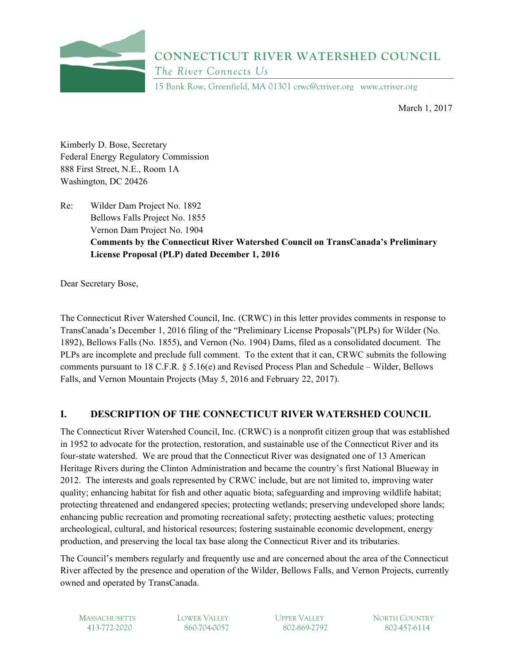

## **CONNECTICUT RIVER WATERSHED COUNCIL**  *The River Connects Us*

15 Bank Row, Greenfield, MA 01301 crwc@ctriver.org www.ctriver.org

March 1, 2017

Kimberly D. Bose, Secretary Federal Energy Regulatory Commission 888 First Street, N.E., Room 1A Washington, DC 20426

Re: Wilder Dam Project No. 1892 Bellows Falls Project No. 1855 Vernon Dam Project No. 1904 **Comments by the Connecticut River Watershed Council on TransCanada's Preliminary License Proposal (PLP) dated December 1, 2016** 

Dear Secretary Bose,

The Connecticut River Watershed Council, Inc. (CRWC) in this letter provides comments in response to TransCanada's December 1, 2016 filing of the "Preliminary License Proposals"(PLPs) for Wilder (No. 1892), Bellows Falls (No. 1855), and Vernon (No. 1904) Dams, filed as a consolidated document. The PLPs are incomplete and preclude full comment. To the extent that it can, CRWC submits the following comments pursuant to 18 C.F.R. § 5.16(e) and Revised Process Plan and Schedule – Wilder, Bellows Falls, and Vernon Mountain Projects (May 5, 2016 and February 22, 2017).

## **I. DESCRIPTION OF THE CONNECTICUT RIVER WATERSHED COUNCIL**

The Connecticut River Watershed Council, Inc. (CRWC) is a nonprofit citizen group that was established in 1952 to advocate for the protection, restoration, and sustainable use of the Connecticut River and its four-state watershed. We are proud that the Connecticut River was designated one of 13 American Heritage Rivers during the Clinton Administration and became the country's first National Blueway in 2012. The interests and goals represented by CRWC include, but are not limited to, improving water quality; enhancing habitat for fish and other aquatic biota; safeguarding and improving wildlife habitat; protecting threatened and endangered species; protecting wetlands; preserving undeveloped shore lands; enhancing public recreation and promoting recreational safety; protecting aesthetic values; protecting archeological, cultural, and historical resources; fostering sustainable economic development, energy production, and preserving the local tax base along the Connecticut River and its tributaries.

The Council's members regularly and frequently use and are concerned about the area of the Connecticut River affected by the presence and operation of the Wilder, Bellows Falls, and Vernon Projects, currently owned and operated by TransCanada.

MASSACHUSETTS LOWER VALLEY UPPER VALLEY NORTH COUNTRY 413-772-2020 860-704-0057 802-869-2792 802-457-6114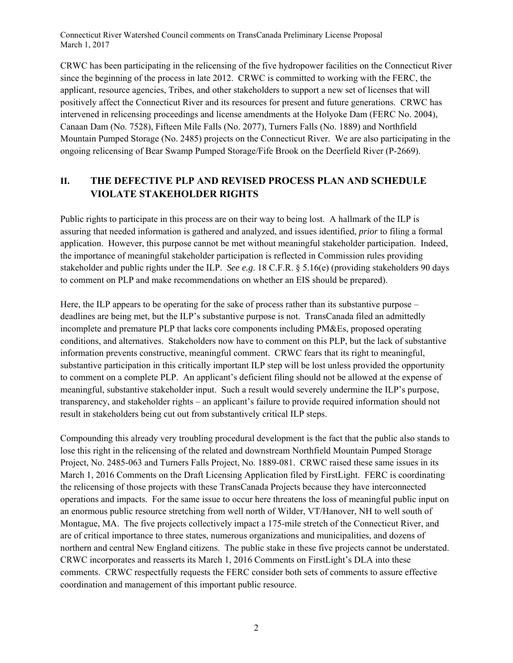CRWC has been participating in the relicensing of the five hydropower facilities on the Connecticut River since the beginning of the process in late 2012. CRWC is committed to working with the FERC, the applicant, resource agencies, Tribes, and other stakeholders to support a new set of licenses that will positively affect the Connecticut River and its resources for present and future generations. CRWC has intervened in relicensing proceedings and license amendments at the Holyoke Dam (FERC No. 2004), Canaan Dam (No. 7528), Fifteen Mile Falls (No. 2077), Turners Falls (No. 1889) and Northfield Mountain Pumped Storage (No. 2485) projects on the Connecticut River. We are also participating in the ongoing relicensing of Bear Swamp Pumped Storage/Fife Brook on the Deerfield River (P-2669).

## **II. THE DEFECTIVE PLP AND REVISED PROCESS PLAN AND SCHEDULE VIOLATE STAKEHOLDER RIGHTS**

Public rights to participate in this process are on their way to being lost. A hallmark of the ILP is assuring that needed information is gathered and analyzed, and issues identified, *prior* to filing a formal application. However, this purpose cannot be met without meaningful stakeholder participation. Indeed, the importance of meaningful stakeholder participation is reflected in Commission rules providing stakeholder and public rights under the ILP. *See e.g*. 18 C.F.R. § 5.16(e) (providing stakeholders 90 days to comment on PLP and make recommendations on whether an EIS should be prepared).

Here, the ILP appears to be operating for the sake of process rather than its substantive purpose – deadlines are being met, but the ILP's substantive purpose is not. TransCanada filed an admittedly incomplete and premature PLP that lacks core components including PM&Es, proposed operating conditions, and alternatives. Stakeholders now have to comment on this PLP, but the lack of substantive information prevents constructive, meaningful comment. CRWC fears that its right to meaningful, substantive participation in this critically important ILP step will be lost unless provided the opportunity to comment on a complete PLP. An applicant's deficient filing should not be allowed at the expense of meaningful, substantive stakeholder input. Such a result would severely undermine the ILP's purpose, transparency, and stakeholder rights – an applicant's failure to provide required information should not result in stakeholders being cut out from substantively critical ILP steps.

Compounding this already very troubling procedural development is the fact that the public also stands to lose this right in the relicensing of the related and downstream Northfield Mountain Pumped Storage Project, No. 2485-063 and Turners Falls Project, No. 1889-081. CRWC raised these same issues in its March 1, 2016 Comments on the Draft Licensing Application filed by FirstLight. FERC is coordinating the relicensing of those projects with these TransCanada Projects because they have interconnected operations and impacts. For the same issue to occur here threatens the loss of meaningful public input on an enormous public resource stretching from well north of Wilder, VT/Hanover, NH to well south of Montague, MA. The five projects collectively impact a 175-mile stretch of the Connecticut River, and are of critical importance to three states, numerous organizations and municipalities, and dozens of northern and central New England citizens. The public stake in these five projects cannot be understated. CRWC incorporates and reasserts its March 1, 2016 Comments on FirstLight's DLA into these comments. CRWC respectfully requests the FERC consider both sets of comments to assure effective coordination and management of this important public resource.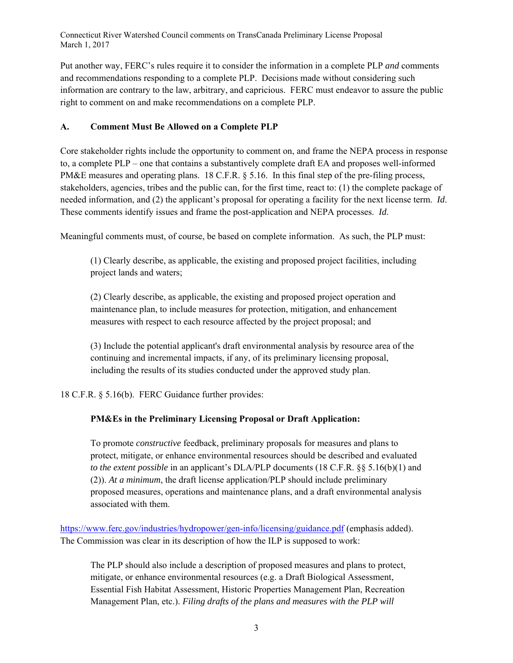Put another way, FERC's rules require it to consider the information in a complete PLP *and* comments and recommendations responding to a complete PLP. Decisions made without considering such information are contrary to the law, arbitrary, and capricious. FERC must endeavor to assure the public right to comment on and make recommendations on a complete PLP.

## **A. Comment Must Be Allowed on a Complete PLP**

Core stakeholder rights include the opportunity to comment on, and frame the NEPA process in response to, a complete PLP – one that contains a substantively complete draft EA and proposes well-informed PM&E measures and operating plans. 18 C.F.R. § 5.16. In this final step of the pre-filing process, stakeholders, agencies, tribes and the public can, for the first time, react to: (1) the complete package of needed information, and (2) the applicant's proposal for operating a facility for the next license term. *Id*. These comments identify issues and frame the post-application and NEPA processes. *Id*.

Meaningful comments must, of course, be based on complete information. As such, the PLP must:

(1) Clearly describe, as applicable, the existing and proposed project facilities, including project lands and waters;

(2) Clearly describe, as applicable, the existing and proposed project operation and maintenance plan, to include measures for protection, mitigation, and enhancement measures with respect to each resource affected by the project proposal; and

(3) Include the potential applicant's draft environmental analysis by resource area of the continuing and incremental impacts, if any, of its preliminary licensing proposal, including the results of its studies conducted under the approved study plan.

18 C.F.R. § 5.16(b). FERC Guidance further provides:

## **PM&Es in the Preliminary Licensing Proposal or Draft Application:**

To promote *constructive* feedback, preliminary proposals for measures and plans to protect, mitigate, or enhance environmental resources should be described and evaluated *to the extent possible* in an applicant's DLA/PLP documents (18 C.F.R. §§ 5.16(b)(1) and (2)). *At a minimum*, the draft license application/PLP should include preliminary proposed measures, operations and maintenance plans, and a draft environmental analysis associated with them.

https://www.ferc.gov/industries/hydropower/gen-info/licensing/guidance.pdf (emphasis added). The Commission was clear in its description of how the ILP is supposed to work:

The PLP should also include a description of proposed measures and plans to protect, mitigate, or enhance environmental resources (e.g. a Draft Biological Assessment, Essential Fish Habitat Assessment, Historic Properties Management Plan, Recreation Management Plan, etc.). *Filing drafts of the plans and measures with the PLP will*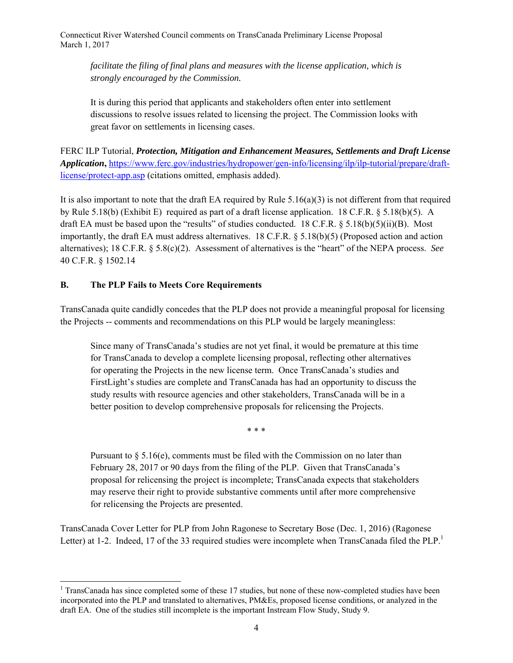*facilitate the filing of final plans and measures with the license application, which is strongly encouraged by the Commission.* 

It is during this period that applicants and stakeholders often enter into settlement discussions to resolve issues related to licensing the project. The Commission looks with great favor on settlements in licensing cases.

FERC ILP Tutorial, *Protection, Mitigation and Enhancement Measures, Settlements and Draft License Application***,** https://www.ferc.gov/industries/hydropower/gen-info/licensing/ilp/ilp-tutorial/prepare/draftlicense/protect-app.asp (citations omitted, emphasis added).

It is also important to note that the draft EA required by Rule  $5.16(a)(3)$  is not different from that required by Rule 5.18(b) (Exhibit E) required as part of a draft license application. 18 C.F.R. § 5.18(b)(5). A draft EA must be based upon the "results" of studies conducted. 18 C.F.R.  $\S$  5.18(b)(5)(ii)(B). Most importantly, the draft EA must address alternatives. 18 C.F.R. § 5.18(b)(5) (Proposed action and action alternatives); 18 C.F.R. § 5.8(c)(2). Assessment of alternatives is the "heart" of the NEPA process. *See* 40 C.F.R. § 1502.14

#### **B. The PLP Fails to Meets Core Requirements**

1

TransCanada quite candidly concedes that the PLP does not provide a meaningful proposal for licensing the Projects -- comments and recommendations on this PLP would be largely meaningless:

Since many of TransCanada's studies are not yet final, it would be premature at this time for TransCanada to develop a complete licensing proposal, reflecting other alternatives for operating the Projects in the new license term. Once TransCanada's studies and FirstLight's studies are complete and TransCanada has had an opportunity to discuss the study results with resource agencies and other stakeholders, TransCanada will be in a better position to develop comprehensive proposals for relicensing the Projects.

\* \* \*

Pursuant to  $\S 5.16(e)$ , comments must be filed with the Commission on no later than February 28, 2017 or 90 days from the filing of the PLP. Given that TransCanada's proposal for relicensing the project is incomplete; TransCanada expects that stakeholders may reserve their right to provide substantive comments until after more comprehensive for relicensing the Projects are presented.

TransCanada Cover Letter for PLP from John Ragonese to Secretary Bose (Dec. 1, 2016) (Ragonese Letter) at 1-2. Indeed, 17 of the 33 required studies were incomplete when TransCanada filed the PLP.<sup>1</sup>

<sup>&</sup>lt;sup>1</sup> TransCanada has since completed some of these 17 studies, but none of these now-completed studies have been incorporated into the PLP and translated to alternatives, PM&Es, proposed license conditions, or analyzed in the draft EA. One of the studies still incomplete is the important Instream Flow Study, Study 9.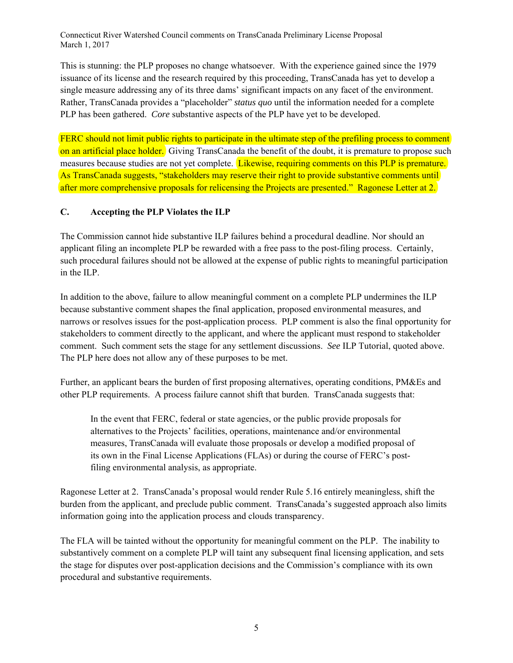This is stunning: the PLP proposes no change whatsoever. With the experience gained since the 1979 issuance of its license and the research required by this proceeding, TransCanada has yet to develop a single measure addressing any of its three dams' significant impacts on any facet of the environment. Rather, TransCanada provides a "placeholder" *status quo* until the information needed for a complete PLP has been gathered. *Core* substantive aspects of the PLP have yet to be developed.

FERC should not limit public rights to participate in the ultimate step of the prefiling process to comment on an artificial place holder. Giving TransCanada the benefit of the doubt, it is premature to propose such measures because studies are not yet complete. Likewise, requiring comments on this PLP is premature. As TransCanada suggests, "stakeholders may reserve their right to provide substantive comments until after more comprehensive proposals for relicensing the Projects are presented." Ragonese Letter at 2.

#### **C. Accepting the PLP Violates the ILP**

The Commission cannot hide substantive ILP failures behind a procedural deadline. Nor should an applicant filing an incomplete PLP be rewarded with a free pass to the post-filing process. Certainly, such procedural failures should not be allowed at the expense of public rights to meaningful participation in the ILP.

In addition to the above, failure to allow meaningful comment on a complete PLP undermines the ILP because substantive comment shapes the final application, proposed environmental measures, and narrows or resolves issues for the post-application process. PLP comment is also the final opportunity for stakeholders to comment directly to the applicant, and where the applicant must respond to stakeholder comment. Such comment sets the stage for any settlement discussions. *See* ILP Tutorial, quoted above. The PLP here does not allow any of these purposes to be met.

Further, an applicant bears the burden of first proposing alternatives, operating conditions, PM&Es and other PLP requirements. A process failure cannot shift that burden. TransCanada suggests that:

In the event that FERC, federal or state agencies, or the public provide proposals for alternatives to the Projects' facilities, operations, maintenance and/or environmental measures, TransCanada will evaluate those proposals or develop a modified proposal of its own in the Final License Applications (FLAs) or during the course of FERC's postfiling environmental analysis, as appropriate.

Ragonese Letter at 2. TransCanada's proposal would render Rule 5.16 entirely meaningless, shift the burden from the applicant, and preclude public comment. TransCanada's suggested approach also limits information going into the application process and clouds transparency.

The FLA will be tainted without the opportunity for meaningful comment on the PLP. The inability to substantively comment on a complete PLP will taint any subsequent final licensing application, and sets the stage for disputes over post-application decisions and the Commission's compliance with its own procedural and substantive requirements.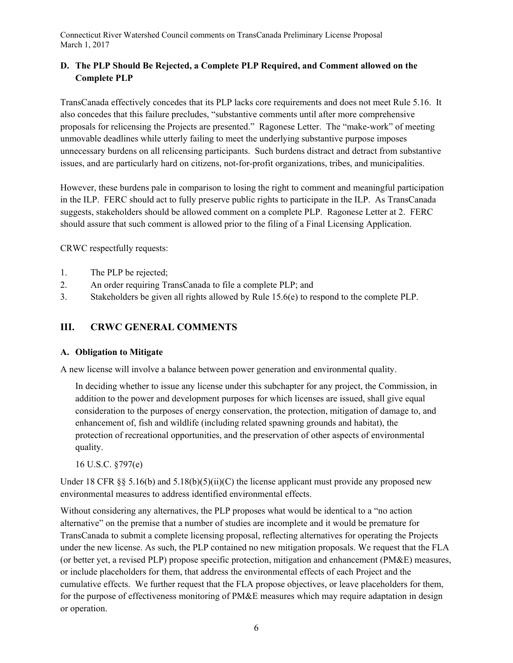## **D. The PLP Should Be Rejected, a Complete PLP Required, and Comment allowed on the Complete PLP**

TransCanada effectively concedes that its PLP lacks core requirements and does not meet Rule 5.16. It also concedes that this failure precludes, "substantive comments until after more comprehensive proposals for relicensing the Projects are presented." Ragonese Letter. The "make-work" of meeting unmovable deadlines while utterly failing to meet the underlying substantive purpose imposes unnecessary burdens on all relicensing participants. Such burdens distract and detract from substantive issues, and are particularly hard on citizens, not-for-profit organizations, tribes, and municipalities.

However, these burdens pale in comparison to losing the right to comment and meaningful participation in the ILP. FERC should act to fully preserve public rights to participate in the ILP. As TransCanada suggests, stakeholders should be allowed comment on a complete PLP. Ragonese Letter at 2. FERC should assure that such comment is allowed prior to the filing of a Final Licensing Application.

CRWC respectfully requests:

- 1. The PLP be rejected;
- 2. An order requiring TransCanada to file a complete PLP; and
- 3. Stakeholders be given all rights allowed by Rule 15.6(e) to respond to the complete PLP.

## **III. CRWC GENERAL COMMENTS**

#### **A. Obligation to Mitigate**

A new license will involve a balance between power generation and environmental quality.

In deciding whether to issue any license under this subchapter for any project, the Commission, in addition to the power and development purposes for which licenses are issued, shall give equal consideration to the purposes of energy conservation, the protection, mitigation of damage to, and enhancement of, fish and wildlife (including related spawning grounds and habitat), the protection of recreational opportunities, and the preservation of other aspects of environmental quality.

16 U.S.C. §797(e)

Under 18 CFR  $\S$ § 5.16(b) and 5.18(b)(5)(ii)(C) the license applicant must provide any proposed new environmental measures to address identified environmental effects.

Without considering any alternatives, the PLP proposes what would be identical to a "no action alternative" on the premise that a number of studies are incomplete and it would be premature for TransCanada to submit a complete licensing proposal, reflecting alternatives for operating the Projects under the new license. As such, the PLP contained no new mitigation proposals. We request that the FLA (or better yet, a revised PLP) propose specific protection, mitigation and enhancement (PM&E) measures, or include placeholders for them, that address the environmental effects of each Project and the cumulative effects. We further request that the FLA propose objectives, or leave placeholders for them, for the purpose of effectiveness monitoring of PM&E measures which may require adaptation in design or operation.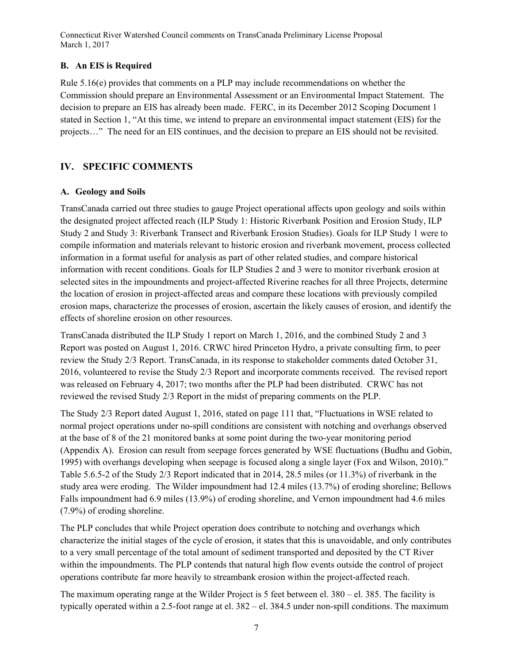#### **B. An EIS is Required**

Rule 5.16(e) provides that comments on a PLP may include recommendations on whether the Commission should prepare an Environmental Assessment or an Environmental Impact Statement. The decision to prepare an EIS has already been made. FERC, in its December 2012 Scoping Document 1 stated in Section 1, "At this time, we intend to prepare an environmental impact statement (EIS) for the projects…" The need for an EIS continues, and the decision to prepare an EIS should not be revisited.

## **IV. SPECIFIC COMMENTS**

## **A. Geology and Soils**

TransCanada carried out three studies to gauge Project operational affects upon geology and soils within the designated project affected reach (ILP Study 1: Historic Riverbank Position and Erosion Study, ILP Study 2 and Study 3: Riverbank Transect and Riverbank Erosion Studies). Goals for ILP Study 1 were to compile information and materials relevant to historic erosion and riverbank movement, process collected information in a format useful for analysis as part of other related studies, and compare historical information with recent conditions. Goals for ILP Studies 2 and 3 were to monitor riverbank erosion at selected sites in the impoundments and project-affected Riverine reaches for all three Projects, determine the location of erosion in project-affected areas and compare these locations with previously compiled erosion maps, characterize the processes of erosion, ascertain the likely causes of erosion, and identify the effects of shoreline erosion on other resources.

TransCanada distributed the ILP Study 1 report on March 1, 2016, and the combined Study 2 and 3 Report was posted on August 1, 2016. CRWC hired Princeton Hydro, a private consulting firm, to peer review the Study 2/3 Report. TransCanada, in its response to stakeholder comments dated October 31, 2016, volunteered to revise the Study 2/3 Report and incorporate comments received. The revised report was released on February 4, 2017; two months after the PLP had been distributed. CRWC has not reviewed the revised Study 2/3 Report in the midst of preparing comments on the PLP.

The Study 2/3 Report dated August 1, 2016, stated on page 111 that, "Fluctuations in WSE related to normal project operations under no‐spill conditions are consistent with notching and overhangs observed at the base of 8 of the 21 monitored banks at some point during the two‐year monitoring period (Appendix A). Erosion can result from seepage forces generated by WSE fluctuations (Budhu and Gobin, 1995) with overhangs developing when seepage is focused along a single layer (Fox and Wilson, 2010)." Table 5.6.5-2 of the Study 2/3 Report indicated that in 2014, 28.5 miles (or 11.3%) of riverbank in the study area were eroding. The Wilder impoundment had 12.4 miles (13.7%) of eroding shoreline; Bellows Falls impoundment had 6.9 miles (13.9%) of eroding shoreline, and Vernon impoundment had 4.6 miles (7.9%) of eroding shoreline.

The PLP concludes that while Project operation does contribute to notching and overhangs which characterize the initial stages of the cycle of erosion, it states that this is unavoidable, and only contributes to a very small percentage of the total amount of sediment transported and deposited by the CT River within the impoundments. The PLP contends that natural high flow events outside the control of project operations contribute far more heavily to streambank erosion within the project-affected reach.

The maximum operating range at the Wilder Project is 5 feet between el. 380 – el. 385. The facility is typically operated within a 2.5-foot range at el. 382 – el. 384.5 under non-spill conditions. The maximum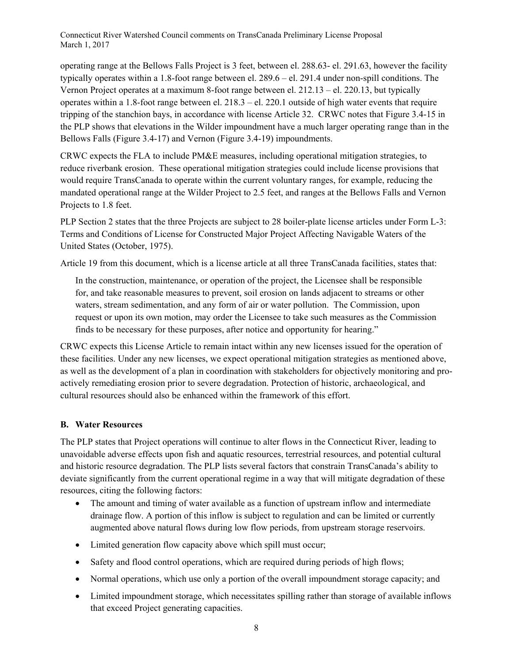operating range at the Bellows Falls Project is 3 feet, between el. 288.63- el. 291.63, however the facility typically operates within a 1.8-foot range between el. 289.6 – el. 291.4 under non-spill conditions. The Vernon Project operates at a maximum 8-foot range between el. 212.13 – el. 220.13, but typically operates within a 1.8-foot range between el. 218.3 – el. 220.1 outside of high water events that require tripping of the stanchion bays, in accordance with license Article 32. CRWC notes that Figure 3.4-15 in the PLP shows that elevations in the Wilder impoundment have a much larger operating range than in the Bellows Falls (Figure 3.4-17) and Vernon (Figure 3.4-19) impoundments.

CRWC expects the FLA to include PM&E measures, including operational mitigation strategies, to reduce riverbank erosion. These operational mitigation strategies could include license provisions that would require TransCanada to operate within the current voluntary ranges, for example, reducing the mandated operational range at the Wilder Project to 2.5 feet, and ranges at the Bellows Falls and Vernon Projects to 1.8 feet.

PLP Section 2 states that the three Projects are subject to 28 boiler-plate license articles under Form L-3: Terms and Conditions of License for Constructed Major Project Affecting Navigable Waters of the United States (October, 1975).

Article 19 from this document, which is a license article at all three TransCanada facilities, states that:

In the construction, maintenance, or operation of the project, the Licensee shall be responsible for, and take reasonable measures to prevent, soil erosion on lands adjacent to streams or other waters, stream sedimentation, and any form of air or water pollution. The Commission, upon request or upon its own motion, may order the Licensee to take such measures as the Commission finds to be necessary for these purposes, after notice and opportunity for hearing."

CRWC expects this License Article to remain intact within any new licenses issued for the operation of these facilities. Under any new licenses, we expect operational mitigation strategies as mentioned above, as well as the development of a plan in coordination with stakeholders for objectively monitoring and proactively remediating erosion prior to severe degradation. Protection of historic, archaeological, and cultural resources should also be enhanced within the framework of this effort.

#### **B. Water Resources**

The PLP states that Project operations will continue to alter flows in the Connecticut River, leading to unavoidable adverse effects upon fish and aquatic resources, terrestrial resources, and potential cultural and historic resource degradation. The PLP lists several factors that constrain TransCanada's ability to deviate significantly from the current operational regime in a way that will mitigate degradation of these resources, citing the following factors:

- The amount and timing of water available as a function of upstream inflow and intermediate drainage flow. A portion of this inflow is subject to regulation and can be limited or currently augmented above natural flows during low flow periods, from upstream storage reservoirs.
- Limited generation flow capacity above which spill must occur;
- Safety and flood control operations, which are required during periods of high flows;
- Normal operations, which use only a portion of the overall impoundment storage capacity; and
- Limited impoundment storage, which necessitates spilling rather than storage of available inflows that exceed Project generating capacities.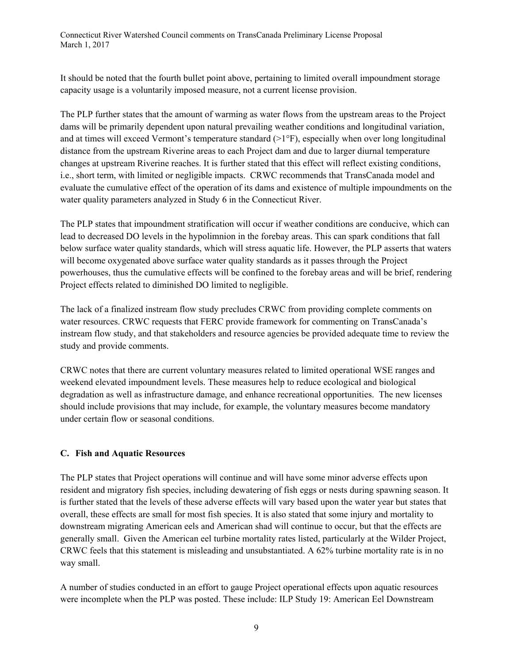It should be noted that the fourth bullet point above, pertaining to limited overall impoundment storage capacity usage is a voluntarily imposed measure, not a current license provision.

The PLP further states that the amount of warming as water flows from the upstream areas to the Project dams will be primarily dependent upon natural prevailing weather conditions and longitudinal variation, and at times will exceed Vermont's temperature standard  $(>1°F)$ , especially when over long longitudinal distance from the upstream Riverine areas to each Project dam and due to larger diurnal temperature changes at upstream Riverine reaches. It is further stated that this effect will reflect existing conditions, i.e., short term, with limited or negligible impacts. CRWC recommends that TransCanada model and evaluate the cumulative effect of the operation of its dams and existence of multiple impoundments on the water quality parameters analyzed in Study 6 in the Connecticut River.

The PLP states that impoundment stratification will occur if weather conditions are conducive, which can lead to decreased DO levels in the hypolimnion in the forebay areas. This can spark conditions that fall below surface water quality standards, which will stress aquatic life. However, the PLP asserts that waters will become oxygenated above surface water quality standards as it passes through the Project powerhouses, thus the cumulative effects will be confined to the forebay areas and will be brief, rendering Project effects related to diminished DO limited to negligible.

The lack of a finalized instream flow study precludes CRWC from providing complete comments on water resources. CRWC requests that FERC provide framework for commenting on TransCanada's instream flow study, and that stakeholders and resource agencies be provided adequate time to review the study and provide comments.

CRWC notes that there are current voluntary measures related to limited operational WSE ranges and weekend elevated impoundment levels. These measures help to reduce ecological and biological degradation as well as infrastructure damage, and enhance recreational opportunities. The new licenses should include provisions that may include, for example, the voluntary measures become mandatory under certain flow or seasonal conditions.

#### **C. Fish and Aquatic Resources**

The PLP states that Project operations will continue and will have some minor adverse effects upon resident and migratory fish species, including dewatering of fish eggs or nests during spawning season. It is further stated that the levels of these adverse effects will vary based upon the water year but states that overall, these effects are small for most fish species. It is also stated that some injury and mortality to downstream migrating American eels and American shad will continue to occur, but that the effects are generally small. Given the American eel turbine mortality rates listed, particularly at the Wilder Project, CRWC feels that this statement is misleading and unsubstantiated. A 62% turbine mortality rate is in no way small.

A number of studies conducted in an effort to gauge Project operational effects upon aquatic resources were incomplete when the PLP was posted. These include: ILP Study 19: American Eel Downstream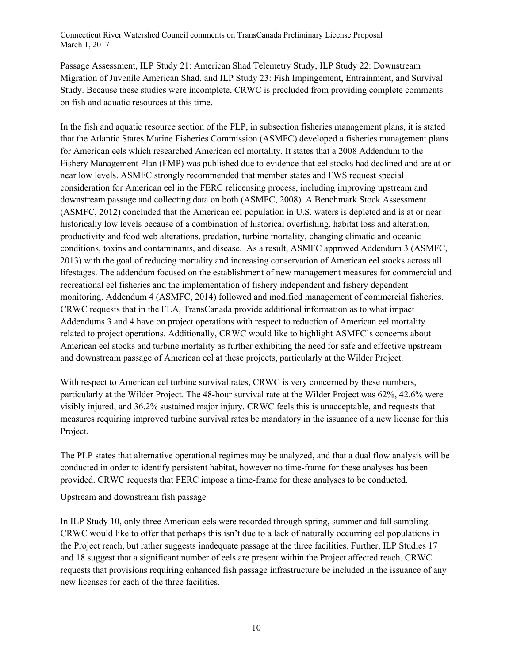Passage Assessment, ILP Study 21: American Shad Telemetry Study, ILP Study 22: Downstream Migration of Juvenile American Shad, and ILP Study 23: Fish Impingement, Entrainment, and Survival Study. Because these studies were incomplete, CRWC is precluded from providing complete comments on fish and aquatic resources at this time.

In the fish and aquatic resource section of the PLP, in subsection fisheries management plans, it is stated that the Atlantic States Marine Fisheries Commission (ASMFC) developed a fisheries management plans for American eels which researched American eel mortality. It states that a 2008 Addendum to the Fishery Management Plan (FMP) was published due to evidence that eel stocks had declined and are at or near low levels. ASMFC strongly recommended that member states and FWS request special consideration for American eel in the FERC relicensing process, including improving upstream and downstream passage and collecting data on both (ASMFC, 2008). A Benchmark Stock Assessment (ASMFC, 2012) concluded that the American eel population in U.S. waters is depleted and is at or near historically low levels because of a combination of historical overfishing, habitat loss and alteration, productivity and food web alterations, predation, turbine mortality, changing climatic and oceanic conditions, toxins and contaminants, and disease. As a result, ASMFC approved Addendum 3 (ASMFC, 2013) with the goal of reducing mortality and increasing conservation of American eel stocks across all lifestages. The addendum focused on the establishment of new management measures for commercial and recreational eel fisheries and the implementation of fishery independent and fishery dependent monitoring. Addendum 4 (ASMFC, 2014) followed and modified management of commercial fisheries. CRWC requests that in the FLA, TransCanada provide additional information as to what impact Addendums 3 and 4 have on project operations with respect to reduction of American eel mortality related to project operations. Additionally, CRWC would like to highlight ASMFC's concerns about American eel stocks and turbine mortality as further exhibiting the need for safe and effective upstream and downstream passage of American eel at these projects, particularly at the Wilder Project.

With respect to American eel turbine survival rates, CRWC is very concerned by these numbers, particularly at the Wilder Project. The 48-hour survival rate at the Wilder Project was 62%, 42.6% were visibly injured, and 36.2% sustained major injury. CRWC feels this is unacceptable, and requests that measures requiring improved turbine survival rates be mandatory in the issuance of a new license for this Project.

The PLP states that alternative operational regimes may be analyzed, and that a dual flow analysis will be conducted in order to identify persistent habitat, however no time-frame for these analyses has been provided. CRWC requests that FERC impose a time-frame for these analyses to be conducted.

#### Upstream and downstream fish passage

In ILP Study 10, only three American eels were recorded through spring, summer and fall sampling. CRWC would like to offer that perhaps this isn't due to a lack of naturally occurring eel populations in the Project reach, but rather suggests inadequate passage at the three facilities. Further, ILP Studies 17 and 18 suggest that a significant number of eels are present within the Project affected reach. CRWC requests that provisions requiring enhanced fish passage infrastructure be included in the issuance of any new licenses for each of the three facilities.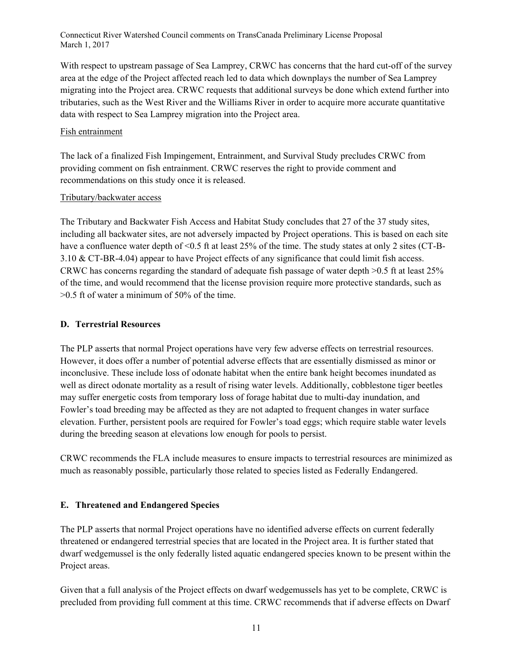With respect to upstream passage of Sea Lamprey, CRWC has concerns that the hard cut-off of the survey area at the edge of the Project affected reach led to data which downplays the number of Sea Lamprey migrating into the Project area. CRWC requests that additional surveys be done which extend further into tributaries, such as the West River and the Williams River in order to acquire more accurate quantitative data with respect to Sea Lamprey migration into the Project area.

#### Fish entrainment

The lack of a finalized Fish Impingement, Entrainment, and Survival Study precludes CRWC from providing comment on fish entrainment. CRWC reserves the right to provide comment and recommendations on this study once it is released.

#### Tributary/backwater access

The Tributary and Backwater Fish Access and Habitat Study concludes that 27 of the 37 study sites, including all backwater sites, are not adversely impacted by Project operations. This is based on each site have a confluence water depth of <0.5 ft at least 25% of the time. The study states at only 2 sites (CT-B-3.10 & CT-BR-4.04) appear to have Project effects of any significance that could limit fish access. CRWC has concerns regarding the standard of adequate fish passage of water depth >0.5 ft at least 25% of the time, and would recommend that the license provision require more protective standards, such as >0.5 ft of water a minimum of 50% of the time.

#### **D. Terrestrial Resources**

The PLP asserts that normal Project operations have very few adverse effects on terrestrial resources. However, it does offer a number of potential adverse effects that are essentially dismissed as minor or inconclusive. These include loss of odonate habitat when the entire bank height becomes inundated as well as direct odonate mortality as a result of rising water levels. Additionally, cobblestone tiger beetles may suffer energetic costs from temporary loss of forage habitat due to multi-day inundation, and Fowler's toad breeding may be affected as they are not adapted to frequent changes in water surface elevation. Further, persistent pools are required for Fowler's toad eggs; which require stable water levels during the breeding season at elevations low enough for pools to persist.

CRWC recommends the FLA include measures to ensure impacts to terrestrial resources are minimized as much as reasonably possible, particularly those related to species listed as Federally Endangered.

#### **E. Threatened and Endangered Species**

The PLP asserts that normal Project operations have no identified adverse effects on current federally threatened or endangered terrestrial species that are located in the Project area. It is further stated that dwarf wedgemussel is the only federally listed aquatic endangered species known to be present within the Project areas.

Given that a full analysis of the Project effects on dwarf wedgemussels has yet to be complete, CRWC is precluded from providing full comment at this time. CRWC recommends that if adverse effects on Dwarf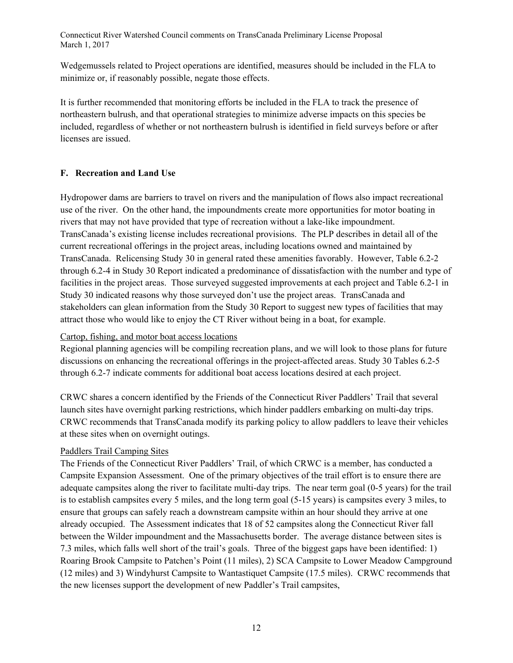Wedgemussels related to Project operations are identified, measures should be included in the FLA to minimize or, if reasonably possible, negate those effects.

It is further recommended that monitoring efforts be included in the FLA to track the presence of northeastern bulrush, and that operational strategies to minimize adverse impacts on this species be included, regardless of whether or not northeastern bulrush is identified in field surveys before or after licenses are issued.

#### **F. Recreation and Land Use**

Hydropower dams are barriers to travel on rivers and the manipulation of flows also impact recreational use of the river. On the other hand, the impoundments create more opportunities for motor boating in rivers that may not have provided that type of recreation without a lake-like impoundment. TransCanada's existing license includes recreational provisions. The PLP describes in detail all of the current recreational offerings in the project areas, including locations owned and maintained by TransCanada. Relicensing Study 30 in general rated these amenities favorably. However, Table 6.2-2 through 6.2-4 in Study 30 Report indicated a predominance of dissatisfaction with the number and type of facilities in the project areas. Those surveyed suggested improvements at each project and Table 6.2-1 in Study 30 indicated reasons why those surveyed don't use the project areas. TransCanada and stakeholders can glean information from the Study 30 Report to suggest new types of facilities that may attract those who would like to enjoy the CT River without being in a boat, for example.

#### Cartop, fishing, and motor boat access locations

Regional planning agencies will be compiling recreation plans, and we will look to those plans for future discussions on enhancing the recreational offerings in the project-affected areas. Study 30 Tables 6.2-5 through 6.2-7 indicate comments for additional boat access locations desired at each project.

CRWC shares a concern identified by the Friends of the Connecticut River Paddlers' Trail that several launch sites have overnight parking restrictions, which hinder paddlers embarking on multi-day trips. CRWC recommends that TransCanada modify its parking policy to allow paddlers to leave their vehicles at these sites when on overnight outings.

#### Paddlers Trail Camping Sites

The Friends of the Connecticut River Paddlers' Trail, of which CRWC is a member, has conducted a Campsite Expansion Assessment. One of the primary objectives of the trail effort is to ensure there are adequate campsites along the river to facilitate multi-day trips. The near term goal (0-5 years) for the trail is to establish campsites every 5 miles, and the long term goal (5-15 years) is campsites every 3 miles, to ensure that groups can safely reach a downstream campsite within an hour should they arrive at one already occupied. The Assessment indicates that 18 of 52 campsites along the Connecticut River fall between the Wilder impoundment and the Massachusetts border. The average distance between sites is 7.3 miles, which falls well short of the trail's goals. Three of the biggest gaps have been identified: 1) Roaring Brook Campsite to Patchen's Point (11 miles), 2) SCA Campsite to Lower Meadow Campground (12 miles) and 3) Windyhurst Campsite to Wantastiquet Campsite (17.5 miles). CRWC recommends that the new licenses support the development of new Paddler's Trail campsites,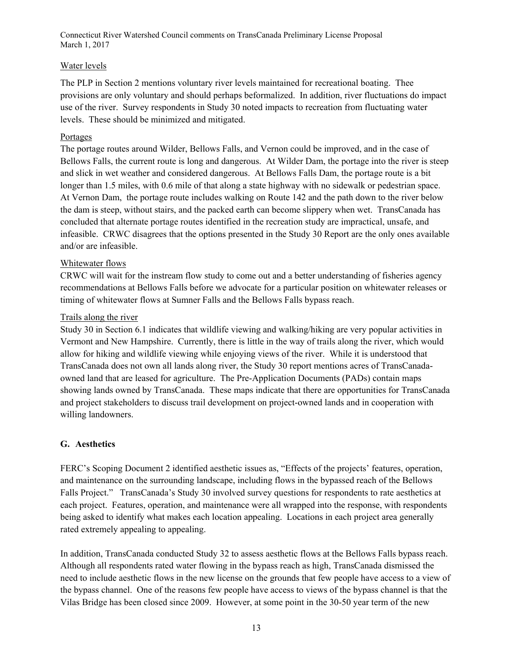#### Water levels

The PLP in Section 2 mentions voluntary river levels maintained for recreational boating. Thee provisions are only voluntary and should perhaps beformalized. In addition, river fluctuations do impact use of the river. Survey respondents in Study 30 noted impacts to recreation from fluctuating water levels. These should be minimized and mitigated.

#### Portages

The portage routes around Wilder, Bellows Falls, and Vernon could be improved, and in the case of Bellows Falls, the current route is long and dangerous. At Wilder Dam, the portage into the river is steep and slick in wet weather and considered dangerous. At Bellows Falls Dam, the portage route is a bit longer than 1.5 miles, with 0.6 mile of that along a state highway with no sidewalk or pedestrian space. At Vernon Dam, the portage route includes walking on Route 142 and the path down to the river below the dam is steep, without stairs, and the packed earth can become slippery when wet. TransCanada has concluded that alternate portage routes identified in the recreation study are impractical, unsafe, and infeasible. CRWC disagrees that the options presented in the Study 30 Report are the only ones available and/or are infeasible.

#### Whitewater flows

CRWC will wait for the instream flow study to come out and a better understanding of fisheries agency recommendations at Bellows Falls before we advocate for a particular position on whitewater releases or timing of whitewater flows at Sumner Falls and the Bellows Falls bypass reach.

#### Trails along the river

Study 30 in Section 6.1 indicates that wildlife viewing and walking/hiking are very popular activities in Vermont and New Hampshire. Currently, there is little in the way of trails along the river, which would allow for hiking and wildlife viewing while enjoying views of the river. While it is understood that TransCanada does not own all lands along river, the Study 30 report mentions acres of TransCanadaowned land that are leased for agriculture. The Pre-Application Documents (PADs) contain maps showing lands owned by TransCanada. These maps indicate that there are opportunities for TransCanada and project stakeholders to discuss trail development on project-owned lands and in cooperation with willing landowners.

#### **G. Aesthetics**

FERC's Scoping Document 2 identified aesthetic issues as, "Effects of the projects' features, operation, and maintenance on the surrounding landscape, including flows in the bypassed reach of the Bellows Falls Project." TransCanada's Study 30 involved survey questions for respondents to rate aesthetics at each project. Features, operation, and maintenance were all wrapped into the response, with respondents being asked to identify what makes each location appealing. Locations in each project area generally rated extremely appealing to appealing.

In addition, TransCanada conducted Study 32 to assess aesthetic flows at the Bellows Falls bypass reach. Although all respondents rated water flowing in the bypass reach as high, TransCanada dismissed the need to include aesthetic flows in the new license on the grounds that few people have access to a view of the bypass channel. One of the reasons few people have access to views of the bypass channel is that the Vilas Bridge has been closed since 2009. However, at some point in the 30-50 year term of the new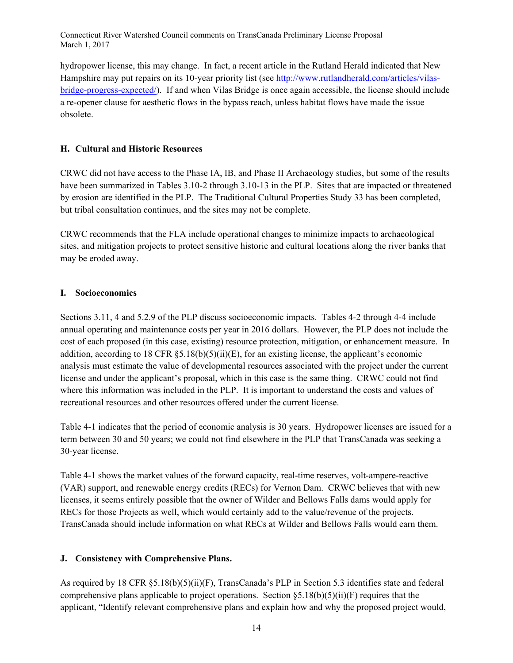hydropower license, this may change. In fact, a recent article in the Rutland Herald indicated that New Hampshire may put repairs on its 10-year priority list (see http://www.rutlandherald.com/articles/vilasbridge-progress-expected/). If and when Vilas Bridge is once again accessible, the license should include a re-opener clause for aesthetic flows in the bypass reach, unless habitat flows have made the issue obsolete.

#### **H. Cultural and Historic Resources**

CRWC did not have access to the Phase IA, IB, and Phase II Archaeology studies, but some of the results have been summarized in Tables 3.10-2 through 3.10-13 in the PLP. Sites that are impacted or threatened by erosion are identified in the PLP. The Traditional Cultural Properties Study 33 has been completed, but tribal consultation continues, and the sites may not be complete.

CRWC recommends that the FLA include operational changes to minimize impacts to archaeological sites, and mitigation projects to protect sensitive historic and cultural locations along the river banks that may be eroded away.

#### **I. Socioeconomics**

Sections 3.11, 4 and 5.2.9 of the PLP discuss socioeconomic impacts. Tables 4-2 through 4-4 include annual operating and maintenance costs per year in 2016 dollars. However, the PLP does not include the cost of each proposed (in this case, existing) resource protection, mitigation, or enhancement measure. In addition, according to 18 CFR §5.18(b)(5)(ii)(E), for an existing license, the applicant's economic analysis must estimate the value of developmental resources associated with the project under the current license and under the applicant's proposal, which in this case is the same thing. CRWC could not find where this information was included in the PLP. It is important to understand the costs and values of recreational resources and other resources offered under the current license.

Table 4-1 indicates that the period of economic analysis is 30 years. Hydropower licenses are issued for a term between 30 and 50 years; we could not find elsewhere in the PLP that TransCanada was seeking a 30-year license.

Table 4-1 shows the market values of the forward capacity, real-time reserves, volt-ampere-reactive (VAR) support, and renewable energy credits (RECs) for Vernon Dam. CRWC believes that with new licenses, it seems entirely possible that the owner of Wilder and Bellows Falls dams would apply for RECs for those Projects as well, which would certainly add to the value/revenue of the projects. TransCanada should include information on what RECs at Wilder and Bellows Falls would earn them.

#### **J. Consistency with Comprehensive Plans.**

As required by 18 CFR §5.18(b)(5)(ii)(F), TransCanada's PLP in Section 5.3 identifies state and federal comprehensive plans applicable to project operations. Section  $\S 5.18(b)(5)(ii)(F)$  requires that the applicant, "Identify relevant comprehensive plans and explain how and why the proposed project would,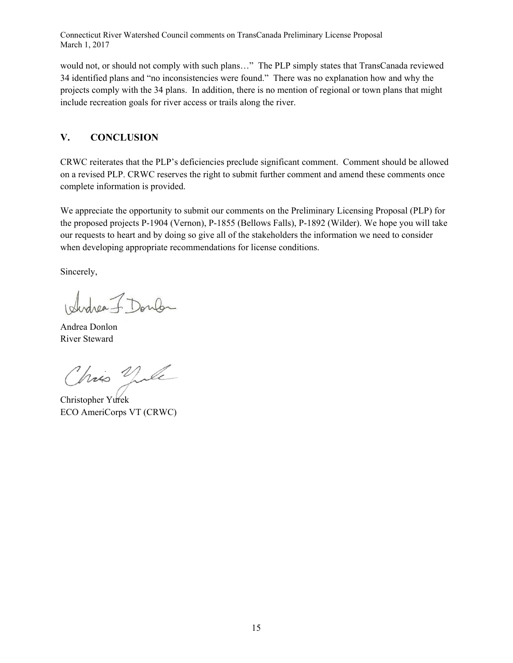would not, or should not comply with such plans…" The PLP simply states that TransCanada reviewed 34 identified plans and "no inconsistencies were found." There was no explanation how and why the projects comply with the 34 plans. In addition, there is no mention of regional or town plans that might include recreation goals for river access or trails along the river.

## **V. CONCLUSION**

CRWC reiterates that the PLP's deficiencies preclude significant comment. Comment should be allowed on a revised PLP. CRWC reserves the right to submit further comment and amend these comments once complete information is provided.

We appreciate the opportunity to submit our comments on the Preliminary Licensing Proposal (PLP) for the proposed projects P-1904 (Vernon), P-1855 (Bellows Falls), P-1892 (Wilder). We hope you will take our requests to heart and by doing so give all of the stakeholders the information we need to consider when developing appropriate recommendations for license conditions.

Sincerely,

Idedrea J. Doulon

Andrea Donlon River Steward

Chris Vile

Christopher Yurek ECO AmeriCorps VT (CRWC)